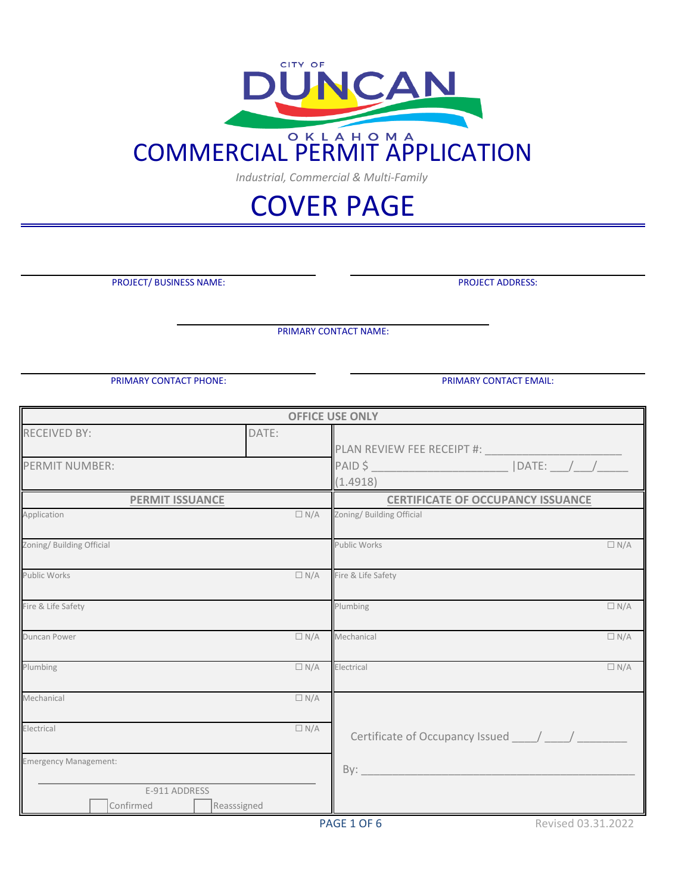

*Industrial, Commercial & Multi-Family*

# COVER PAGE

PROJECT/ BUSINESS NAME:

PROJECT ADDRESS:

PRIMARY CONTACT NAME:

PRIMARY CONTACT PHONE: PRIMARY CONTACT EMAIL:

|                           |             | <b>OFFICE USE ONLY</b>                   |
|---------------------------|-------------|------------------------------------------|
| <b>RECEIVED BY:</b>       | DATE:       |                                          |
|                           |             | PLAN REVIEW FEE RECEIPT #:               |
| <b>PERMIT NUMBER:</b>     |             | $ $ DATE: $\_$<br>PAID \$                |
|                           |             | (1.4918)                                 |
| <b>PERMIT ISSUANCE</b>    |             | <b>CERTIFICATE OF OCCUPANCY ISSUANCE</b> |
| Application               | $\Box N/A$  | Zoning/ Building Official                |
| Zoning/ Building Official |             | Public Works<br>$\Box N/A$               |
| <b>Public Works</b>       | $\Box N/A$  | Fire & Life Safety                       |
| Fire & Life Safety        |             | $\Box N/A$<br>Plumbing                   |
| <b>Duncan Power</b>       | $\Box N/A$  | Mechanical<br>$\Box N/A$                 |
| Plumbing                  | $\Box N/A$  | Electrical<br>$\Box N/A$                 |
| Mechanical                | $\Box N/A$  |                                          |
| Electrical                | $\Box N/A$  | Certificate of Occupancy Issued / /      |
| Emergency Management:     |             | By:                                      |
| E-911 ADDRESS             |             |                                          |
| Confirmed                 | Reasssigned |                                          |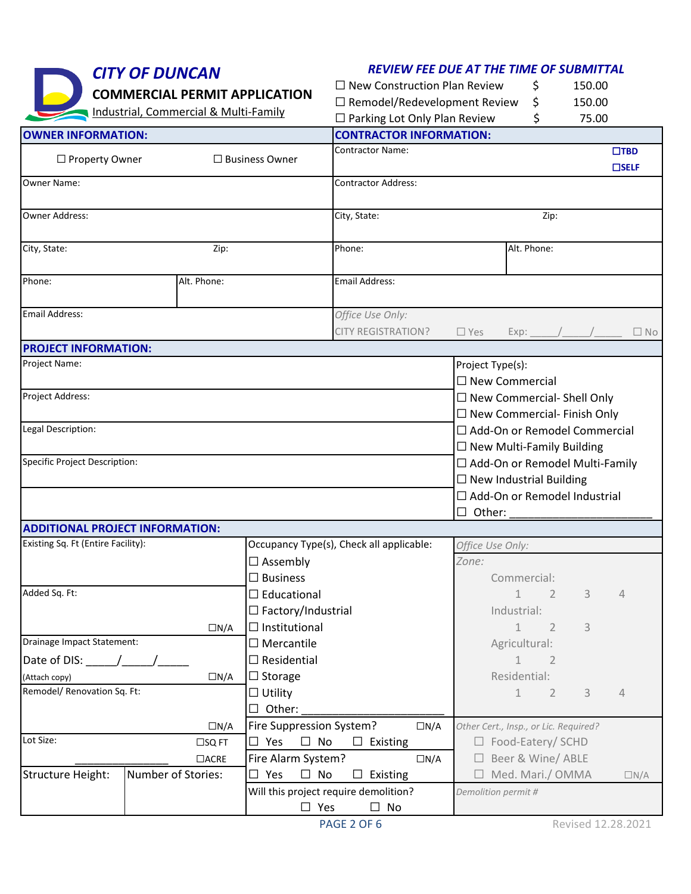| <b>CITY OF DUNCAN</b><br><b>COMMERCIAL PERMIT APPLICATION</b> |                                       |                                     | <b>REVIEW FEE DUE AT THE TIME OF SUBMITTAL</b>              |                                     |                                       |                                    |                                     |        |                |  |
|---------------------------------------------------------------|---------------------------------------|-------------------------------------|-------------------------------------------------------------|-------------------------------------|---------------------------------------|------------------------------------|-------------------------------------|--------|----------------|--|
|                                                               |                                       |                                     |                                                             | $\Box$ New Construction Plan Review |                                       |                                    | \$                                  | 150.00 |                |  |
|                                                               | Industrial, Commercial & Multi-Family |                                     | $\Box$ Remodel/Redevelopment Review                         |                                     |                                       | \$                                 | 150.00                              |        |                |  |
|                                                               |                                       | $\Box$ Parking Lot Only Plan Review |                                                             |                                     | \$                                    | 75.00                              |                                     |        |                |  |
| <b>OWNER INFORMATION:</b>                                     |                                       |                                     |                                                             | <b>CONTRACTOR INFORMATION:</b>      |                                       |                                    |                                     |        |                |  |
| □ Property Owner                                              |                                       |                                     | $\Box$ Business Owner                                       | <b>Contractor Name:</b>             |                                       |                                    |                                     |        | $\square$ TBD  |  |
|                                                               |                                       |                                     |                                                             |                                     |                                       |                                    |                                     |        | $\square$ SELF |  |
| Owner Name:                                                   |                                       |                                     |                                                             | <b>Contractor Address:</b>          |                                       |                                    |                                     |        |                |  |
|                                                               |                                       |                                     |                                                             |                                     |                                       |                                    |                                     |        |                |  |
| Owner Address:                                                |                                       |                                     |                                                             | City, State:<br>Zip:                |                                       |                                    |                                     |        |                |  |
|                                                               |                                       |                                     |                                                             |                                     |                                       |                                    | Alt. Phone:                         |        |                |  |
| City, State:                                                  |                                       | Zip:                                |                                                             | Phone:                              |                                       |                                    |                                     |        |                |  |
| Phone:                                                        | Alt. Phone:                           |                                     |                                                             | <b>Email Address:</b>               |                                       |                                    |                                     |        |                |  |
|                                                               |                                       |                                     |                                                             |                                     |                                       |                                    |                                     |        |                |  |
| <b>Email Address:</b>                                         |                                       |                                     |                                                             | Office Use Only:                    |                                       |                                    |                                     |        |                |  |
|                                                               |                                       |                                     |                                                             | <b>CITY REGISTRATION?</b>           |                                       | $\Box$ Yes                         | $Exp:$ / /                          |        | $\Box$ No      |  |
| <b>PROJECT INFORMATION:</b>                                   |                                       |                                     |                                                             |                                     |                                       |                                    |                                     |        |                |  |
| Project Name:                                                 |                                       |                                     |                                                             |                                     |                                       | Project Type(s):                   |                                     |        |                |  |
|                                                               |                                       |                                     |                                                             |                                     |                                       |                                    | $\square$ New Commercial            |        |                |  |
| Project Address:                                              |                                       |                                     |                                                             |                                     |                                       | $\Box$ New Commercial- Shell Only  |                                     |        |                |  |
|                                                               |                                       |                                     |                                                             |                                     |                                       | $\Box$ New Commercial- Finish Only |                                     |        |                |  |
| Legal Description:                                            |                                       |                                     |                                                             |                                     |                                       |                                    | $\Box$ Add-On or Remodel Commercial |        |                |  |
|                                                               |                                       |                                     |                                                             |                                     |                                       | $\Box$ New Multi-Family Building   |                                     |        |                |  |
| Specific Project Description:                                 |                                       |                                     |                                                             |                                     |                                       |                                    | □ Add-On or Remodel Multi-Family    |        |                |  |
|                                                               |                                       |                                     |                                                             |                                     |                                       | $\Box$ New Industrial Building     |                                     |        |                |  |
|                                                               |                                       |                                     |                                                             |                                     |                                       | □ Add-On or Remodel Industrial     |                                     |        |                |  |
|                                                               |                                       |                                     |                                                             |                                     | $\Box$ Other:                         |                                    |                                     |        |                |  |
| <b>ADDITIONAL PROJECT INFORMATION:</b>                        |                                       |                                     |                                                             |                                     |                                       |                                    |                                     |        |                |  |
| Existing Sq. Ft (Entire Facility):                            |                                       |                                     | Occupancy Type(s), Check all applicable:<br>$\Box$ Assembly |                                     |                                       | Office Use Only:                   |                                     |        |                |  |
|                                                               |                                       |                                     |                                                             |                                     |                                       | Zone:                              |                                     |        |                |  |
|                                                               |                                       |                                     | $\square$ Business                                          |                                     |                                       |                                    | Commercial:                         |        |                |  |
| Added Sq. Ft:                                                 |                                       |                                     | $\Box$ Educational                                          |                                     |                                       |                                    | $\mathbf{1}$<br>2                   | 3      | $\sqrt{4}$     |  |
| $\Box N/A$                                                    |                                       |                                     | $\Box$ Factory/Industrial                                   |                                     | Industrial:                           |                                    |                                     |        |                |  |
|                                                               |                                       |                                     | $\Box$ Institutional                                        |                                     | $\mathbf{1}$<br>$\overline{2}$        | 3                                  |                                     |        |                |  |
| Drainage Impact Statement:                                    |                                       |                                     | $\Box$ Mercantile                                           |                                     |                                       | Agricultural:                      |                                     |        |                |  |
| Date of DIS: $\frac{1}{\sqrt{2}}$                             |                                       |                                     | $\Box$ Residential                                          |                                     |                                       | $\mathbf 1$<br>$\overline{2}$      |                                     |        |                |  |
| (Attach copy)<br>$\Box N/A$                                   |                                       |                                     | $\Box$ Storage                                              |                                     |                                       |                                    | Residential:                        |        |                |  |
| Remodel/ Renovation Sq. Ft:<br>$\Box N/A$                     |                                       |                                     | $\Box$ Utility                                              |                                     |                                       |                                    | 1<br>$\overline{2}$                 | 3      | 4              |  |
|                                                               |                                       |                                     | $\Box$ Other:<br>$\Box N/A$                                 |                                     |                                       |                                    |                                     |        |                |  |
|                                                               |                                       |                                     | Fire Suppression System?                                    |                                     | Other Cert., Insp., or Lic. Required? |                                    |                                     |        |                |  |
| Lot Size:<br>$\square$ SQ FT                                  |                                       | $\square$ No<br>$\square$ Yes       | $\square$ Existing                                          |                                     |                                       | □ Food-Eatery/ SCHD                |                                     |        |                |  |
| $\Box$ ACRE                                                   |                                       |                                     | Fire Alarm System?                                          |                                     | □ Beer & Wine/ ABLE                   |                                    |                                     |        |                |  |
| <b>Structure Height:</b>                                      | Number of Stories:                    |                                     | $\square$ Yes<br>$\Box$ No                                  | $\Box$ Existing                     |                                       |                                    | $\Box$ Med. Mari./ OMMA             |        | $\Box N/A$     |  |
|                                                               |                                       |                                     | Will this project require demolition?                       | Demolition permit #                 |                                       |                                    |                                     |        |                |  |
|                                                               |                                       |                                     | $\square$ Yes                                               | $\Box$ No                           |                                       |                                    |                                     |        |                |  |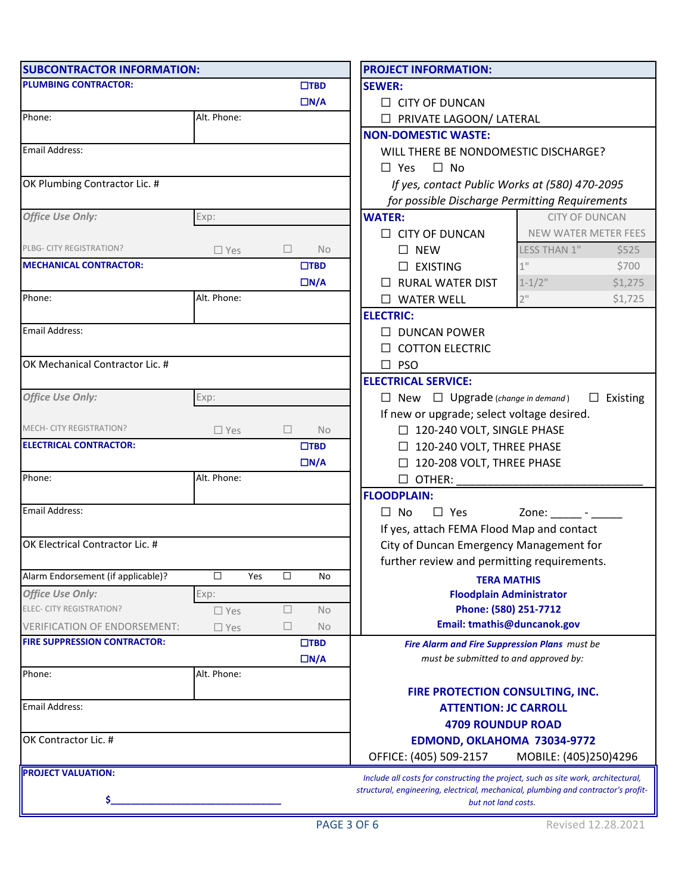| <b>SUBCONTRACTOR INFORMATION:</b>   |               |     |                                                |                                                 | <b>PROJECT INFORMATION:</b>                                                        |         |  |  |  |  |
|-------------------------------------|---------------|-----|------------------------------------------------|-------------------------------------------------|------------------------------------------------------------------------------------|---------|--|--|--|--|
| <b>PLUMBING CONTRACTOR:</b>         |               |     |                                                | $\square$ TBD                                   | <b>SEWER:</b>                                                                      |         |  |  |  |  |
|                                     |               |     |                                                | $\Box N/A$                                      | $\Box$ CITY OF DUNCAN                                                              |         |  |  |  |  |
| Phone:<br>Alt. Phone:               |               |     | <b>D</b> PRIVATE LAGOON/ LATERAL               |                                                 |                                                                                    |         |  |  |  |  |
|                                     |               |     |                                                |                                                 | <b>NON-DOMESTIC WASTE:</b>                                                         |         |  |  |  |  |
| Email Address:                      |               |     |                                                |                                                 | WILL THERE BE NONDOMESTIC DISCHARGE?                                               |         |  |  |  |  |
|                                     |               |     |                                                |                                                 | $\Box$ No<br>$\Box$ Yes                                                            |         |  |  |  |  |
| OK Plumbing Contractor Lic. #       |               |     | If yes, contact Public Works at (580) 470-2095 |                                                 |                                                                                    |         |  |  |  |  |
|                                     |               |     |                                                |                                                 | for possible Discharge Permitting Requirements                                     |         |  |  |  |  |
| <b>Office Use Only:</b>             | Exp:          |     |                                                |                                                 | <b>CITY OF DUNCAN</b><br><b>WATER:</b>                                             |         |  |  |  |  |
|                                     |               |     |                                                |                                                 | $\Box$ CITY OF DUNCAN<br>NEW WATER METER FEES                                      |         |  |  |  |  |
| PLBG- CITY REGISTRATION?            | $\square$ Yes |     | ⊔                                              | <b>No</b>                                       | $\square$ NEW<br>LESS THAN 1"                                                      | \$525   |  |  |  |  |
| <b>MECHANICAL CONTRACTOR:</b>       |               |     |                                                | $\square$ TBD                                   | $1$ "<br>$\Box$ EXISTING                                                           | \$700   |  |  |  |  |
|                                     |               |     |                                                | $\Box N/A$                                      | $\Box$ RURAL WATER DIST<br>$1 - 1/2$ "                                             | \$1,275 |  |  |  |  |
| Phone:                              | Alt. Phone:   |     |                                                |                                                 | $2$ "<br>$\Box$ WATER WELL                                                         | \$1,725 |  |  |  |  |
|                                     |               |     |                                                |                                                 | <b>ELECTRIC:</b>                                                                   |         |  |  |  |  |
| Email Address:                      |               |     |                                                |                                                 | $\Box$ DUNCAN POWER                                                                |         |  |  |  |  |
|                                     |               |     |                                                |                                                 | $\Box$ COTTON ELECTRIC                                                             |         |  |  |  |  |
| OK Mechanical Contractor Lic. #     |               |     |                                                |                                                 | $\square$ PSO                                                                      |         |  |  |  |  |
|                                     |               |     |                                                |                                                 | <b>ELECTRICAL SERVICE:</b>                                                         |         |  |  |  |  |
| <b>Office Use Only:</b>             | Exp:          |     |                                                |                                                 | $\Box$ New $\Box$ Upgrade (change in demand)<br>Existing<br>$\overline{a}$         |         |  |  |  |  |
|                                     |               |     |                                                |                                                 | If new or upgrade; select voltage desired.                                         |         |  |  |  |  |
| MECH- CITY REGISTRATION?            | $\square$ Yes |     | $\Box$                                         | <b>No</b>                                       | □ 120-240 VOLT, SINGLE PHASE                                                       |         |  |  |  |  |
| <b>ELECTRICAL CONTRACTOR:</b>       |               |     |                                                | $\square$ TBD                                   | $\Box$ 120-240 VOLT, THREE PHASE                                                   |         |  |  |  |  |
|                                     |               |     |                                                | $\Box N/A$                                      | □ 120-208 VOLT, THREE PHASE                                                        |         |  |  |  |  |
| Phone:                              | Alt. Phone:   |     |                                                |                                                 | $\Box$ OTHER:                                                                      |         |  |  |  |  |
|                                     |               |     |                                                |                                                 | <b>FLOODPLAIN:</b>                                                                 |         |  |  |  |  |
| Email Address:                      |               |     |                                                |                                                 | $\Box$ Yes<br>$\Box$ No<br>Zone: $\frac{1}{\sqrt{2}}$ - $\frac{1}{\sqrt{2}}$       |         |  |  |  |  |
|                                     |               |     |                                                |                                                 | If yes, attach FEMA Flood Map and contact                                          |         |  |  |  |  |
| OK Electrical Contractor Lic. #     |               |     |                                                |                                                 | City of Duncan Emergency Management for                                            |         |  |  |  |  |
|                                     |               |     |                                                |                                                 | further review and permitting requirements.                                        |         |  |  |  |  |
| Alarm Endorsement (if applicable)?  | $\Box$        | Yes | □                                              | No                                              | <b>TERA MATHIS</b>                                                                 |         |  |  |  |  |
| <b>Office Use Only:</b>             | Exp:          |     |                                                |                                                 | <b>Floodplain Administrator</b>                                                    |         |  |  |  |  |
| ELEC- CITY REGISTRATION?            | $\square$ Yes |     | $\Box$                                         | No                                              | Phone: (580) 251-7712                                                              |         |  |  |  |  |
| <b>VERIFICATION OF ENDORSEMENT:</b> | $\square$ Yes |     | □                                              | No                                              | Email: tmathis@duncanok.gov                                                        |         |  |  |  |  |
| <b>FIRE SUPPRESSION CONTRACTOR:</b> |               |     |                                                | $\square$ TBD                                   | Fire Alarm and Fire Suppression Plans must be                                      |         |  |  |  |  |
|                                     |               |     |                                                | $\Box N/A$                                      | must be submitted to and approved by:                                              |         |  |  |  |  |
| Phone:                              | Alt. Phone:   |     |                                                |                                                 |                                                                                    |         |  |  |  |  |
|                                     |               |     |                                                |                                                 | FIRE PROTECTION CONSULTING, INC.                                                   |         |  |  |  |  |
| <b>Email Address:</b>               |               |     | <b>ATTENTION: JC CARROLL</b>                   |                                                 |                                                                                    |         |  |  |  |  |
|                                     |               |     | <b>4709 ROUNDUP ROAD</b>                       |                                                 |                                                                                    |         |  |  |  |  |
| OK Contractor Lic. #                |               |     | EDMOND, OKLAHOMA 73034-9772                    |                                                 |                                                                                    |         |  |  |  |  |
|                                     |               |     |                                                | OFFICE: (405) 509-2157<br>MOBILE: (405)250)4296 |                                                                                    |         |  |  |  |  |
| <b>PROJECT VALUATION:</b>           |               |     |                                                |                                                 | Include all costs for constructing the project, such as site work, architectural,  |         |  |  |  |  |
|                                     |               |     |                                                |                                                 | structural, engineering, electrical, mechanical, plumbing and contractor's profit- |         |  |  |  |  |
| \$.                                 |               |     |                                                |                                                 | but not land costs.                                                                |         |  |  |  |  |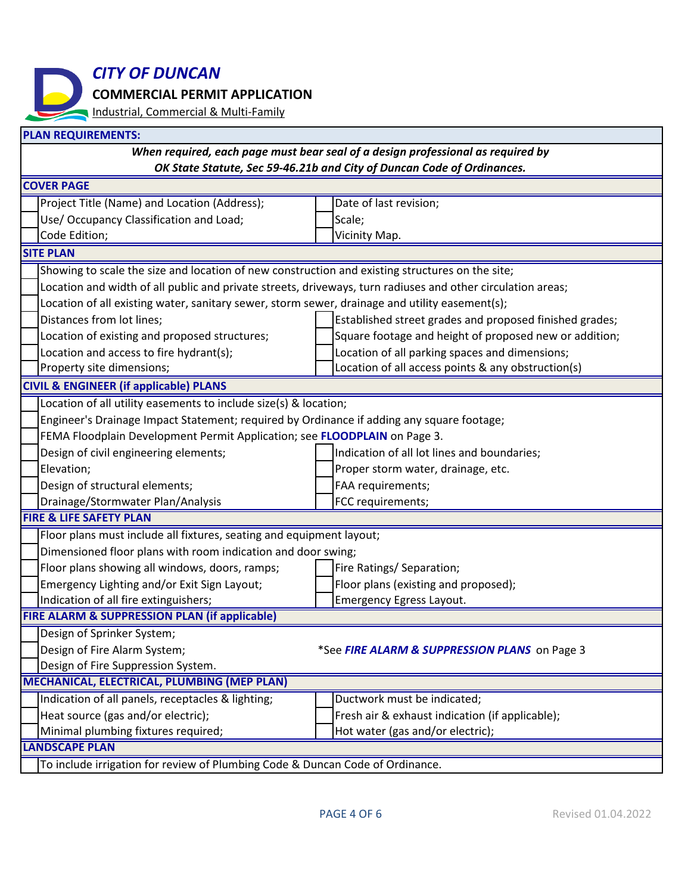*CITY OF DUNCAN*

**COMMERCIAL PERMIT APPLICATION**

Industrial, Commercial & Multi-Family

| <b>PLAN REQUIREMENTS:</b>                                                       |                                                                                                             |                                                         |                                                        |  |  |  |  |
|---------------------------------------------------------------------------------|-------------------------------------------------------------------------------------------------------------|---------------------------------------------------------|--------------------------------------------------------|--|--|--|--|
| When required, each page must bear seal of a design professional as required by |                                                                                                             |                                                         |                                                        |  |  |  |  |
| OK State Statute, Sec 59-46.21b and City of Duncan Code of Ordinances.          |                                                                                                             |                                                         |                                                        |  |  |  |  |
| <b>COVER PAGE</b>                                                               |                                                                                                             |                                                         |                                                        |  |  |  |  |
|                                                                                 | Project Title (Name) and Location (Address);                                                                |                                                         | Date of last revision;                                 |  |  |  |  |
|                                                                                 | Use/ Occupancy Classification and Load;                                                                     |                                                         | Scale;                                                 |  |  |  |  |
|                                                                                 | Code Edition;                                                                                               |                                                         | Vicinity Map.                                          |  |  |  |  |
| <b>SITE PLAN</b>                                                                |                                                                                                             |                                                         |                                                        |  |  |  |  |
|                                                                                 | Showing to scale the size and location of new construction and existing structures on the site;             |                                                         |                                                        |  |  |  |  |
|                                                                                 | Location and width of all public and private streets, driveways, turn radiuses and other circulation areas; |                                                         |                                                        |  |  |  |  |
|                                                                                 | Location of all existing water, sanitary sewer, storm sewer, drainage and utility easement(s);              |                                                         |                                                        |  |  |  |  |
|                                                                                 | Distances from lot lines;                                                                                   | Established street grades and proposed finished grades; |                                                        |  |  |  |  |
|                                                                                 | Location of existing and proposed structures;                                                               |                                                         | Square footage and height of proposed new or addition; |  |  |  |  |
|                                                                                 | Location and access to fire hydrant(s);                                                                     |                                                         | Location of all parking spaces and dimensions;         |  |  |  |  |
|                                                                                 | Property site dimensions;                                                                                   |                                                         | Location of all access points & any obstruction(s)     |  |  |  |  |
| <b>CIVIL &amp; ENGINEER (if applicable) PLANS</b>                               |                                                                                                             |                                                         |                                                        |  |  |  |  |
| Location of all utility easements to include size(s) & location;                |                                                                                                             |                                                         |                                                        |  |  |  |  |
|                                                                                 | Engineer's Drainage Impact Statement; required by Ordinance if adding any square footage;                   |                                                         |                                                        |  |  |  |  |
| FEMA Floodplain Development Permit Application; see FLOODPLAIN on Page 3.       |                                                                                                             |                                                         |                                                        |  |  |  |  |
|                                                                                 | Design of civil engineering elements;                                                                       |                                                         | Indication of all lot lines and boundaries;            |  |  |  |  |
|                                                                                 | Elevation;                                                                                                  |                                                         | Proper storm water, drainage, etc.                     |  |  |  |  |
|                                                                                 | Design of structural elements;                                                                              |                                                         | FAA requirements;                                      |  |  |  |  |
|                                                                                 | Drainage/Stormwater Plan/Analysis                                                                           |                                                         | FCC requirements;                                      |  |  |  |  |
| <b>FIRE &amp; LIFE SAFETY PLAN</b>                                              |                                                                                                             |                                                         |                                                        |  |  |  |  |
| Floor plans must include all fixtures, seating and equipment layout;            |                                                                                                             |                                                         |                                                        |  |  |  |  |
| Dimensioned floor plans with room indication and door swing;                    |                                                                                                             |                                                         |                                                        |  |  |  |  |
|                                                                                 | Floor plans showing all windows, doors, ramps;                                                              |                                                         | Fire Ratings/ Separation;                              |  |  |  |  |
|                                                                                 | Emergency Lighting and/or Exit Sign Layout;                                                                 |                                                         | Floor plans (existing and proposed);                   |  |  |  |  |
|                                                                                 | Indication of all fire extinguishers;                                                                       |                                                         | <b>Emergency Egress Layout.</b>                        |  |  |  |  |
| <b>FIRE ALARM &amp; SUPPRESSION PLAN (if applicable)</b>                        |                                                                                                             |                                                         |                                                        |  |  |  |  |
|                                                                                 | Design of Sprinker System;                                                                                  |                                                         |                                                        |  |  |  |  |
|                                                                                 | Design of Fire Alarm System;                                                                                |                                                         | *See FIRE ALARM & SUPPRESSION PLANS on Page 3          |  |  |  |  |
|                                                                                 | Design of Fire Suppression System.                                                                          |                                                         |                                                        |  |  |  |  |
| MECHANICAL, ELECTRICAL, PLUMBING (MEP PLAN)                                     |                                                                                                             |                                                         |                                                        |  |  |  |  |
|                                                                                 | Indication of all panels, receptacles & lighting;                                                           |                                                         | Ductwork must be indicated;                            |  |  |  |  |
|                                                                                 | Heat source (gas and/or electric);                                                                          |                                                         | Fresh air & exhaust indication (if applicable);        |  |  |  |  |
|                                                                                 | Minimal plumbing fixtures required;                                                                         |                                                         | Hot water (gas and/or electric);                       |  |  |  |  |
| <b>LANDSCAPE PLAN</b>                                                           |                                                                                                             |                                                         |                                                        |  |  |  |  |
| To include irrigation for review of Plumbing Code & Duncan Code of Ordinance.   |                                                                                                             |                                                         |                                                        |  |  |  |  |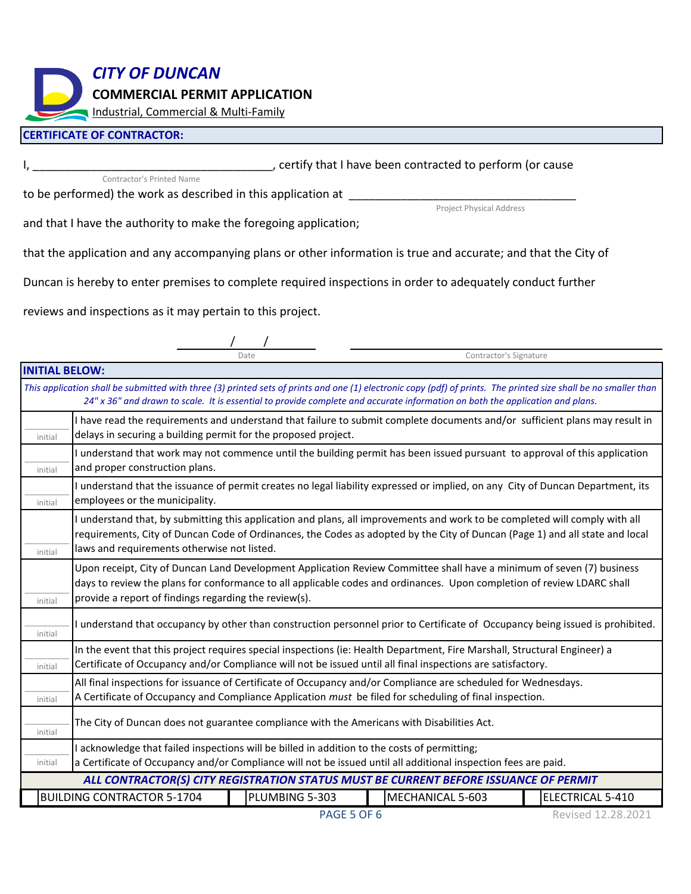*CITY OF DUNCAN*

**COMMERCIAL PERMIT APPLICATION**

Industrial, Commercial & Multi-Family

#### **CERTIFICATE OF CONTRACTOR:**

, certify that I have been contracted to perform (or cause

Project Physical Address

Contractor's Signature

to be performed) the work as described in this application at \_\_\_\_\_\_\_\_\_\_\_\_\_\_\_\_\_\_

Contractor's Printed Name

and that I have the authority to make the foregoing application;

that the application and any accompanying plans or other information is true and accurate; and that the City of

Duncan is hereby to enter premises to complete required inspections in order to adequately conduct further

reviews and inspections as it may pertain to this project.

 / / Date

**INITIAL BELOW:** BUILDING CONTRACTOR 5-1704 | PLUMBING 5-303 | MECHANICAL 5-603 | ELECTRICAL 5-410  $\overline{\phantom{a}}$  ,  $\overline{\phantom{a}}$  ,  $\overline{\phantom{a}}$  ,  $\overline{\phantom{a}}$  ,  $\overline{\phantom{a}}$  ,  $\overline{\phantom{a}}$  ,  $\overline{\phantom{a}}$  ,  $\overline{\phantom{a}}$  ,  $\overline{\phantom{a}}$  ,  $\overline{\phantom{a}}$  ,  $\overline{\phantom{a}}$  ,  $\overline{\phantom{a}}$  ,  $\overline{\phantom{a}}$  ,  $\overline{\phantom{a}}$  ,  $\overline{\phantom{a}}$  ,  $\overline{\phantom{a}}$ initial  $\overline{\phantom{a}}$  ,  $\overline{\phantom{a}}$  ,  $\overline{\phantom{a}}$  ,  $\overline{\phantom{a}}$  ,  $\overline{\phantom{a}}$  ,  $\overline{\phantom{a}}$  ,  $\overline{\phantom{a}}$  ,  $\overline{\phantom{a}}$  ,  $\overline{\phantom{a}}$  ,  $\overline{\phantom{a}}$  ,  $\overline{\phantom{a}}$  ,  $\overline{\phantom{a}}$  ,  $\overline{\phantom{a}}$  ,  $\overline{\phantom{a}}$  ,  $\overline{\phantom{a}}$  ,  $\overline{\phantom{a}}$ initial  $\overline{\phantom{a}}$  ,  $\overline{\phantom{a}}$  ,  $\overline{\phantom{a}}$  ,  $\overline{\phantom{a}}$  ,  $\overline{\phantom{a}}$  ,  $\overline{\phantom{a}}$  ,  $\overline{\phantom{a}}$  ,  $\overline{\phantom{a}}$  ,  $\overline{\phantom{a}}$  ,  $\overline{\phantom{a}}$  ,  $\overline{\phantom{a}}$  ,  $\overline{\phantom{a}}$  ,  $\overline{\phantom{a}}$  ,  $\overline{\phantom{a}}$  ,  $\overline{\phantom{a}}$  ,  $\overline{\phantom{a}}$ initial  $\overline{\phantom{a}}$  ,  $\overline{\phantom{a}}$  ,  $\overline{\phantom{a}}$  ,  $\overline{\phantom{a}}$  ,  $\overline{\phantom{a}}$  ,  $\overline{\phantom{a}}$  ,  $\overline{\phantom{a}}$  ,  $\overline{\phantom{a}}$  ,  $\overline{\phantom{a}}$  ,  $\overline{\phantom{a}}$  ,  $\overline{\phantom{a}}$  ,  $\overline{\phantom{a}}$  ,  $\overline{\phantom{a}}$  ,  $\overline{\phantom{a}}$  ,  $\overline{\phantom{a}}$  ,  $\overline{\phantom{a}}$ initial  $\overline{\phantom{a}}$  ,  $\overline{\phantom{a}}$  ,  $\overline{\phantom{a}}$  ,  $\overline{\phantom{a}}$  ,  $\overline{\phantom{a}}$  ,  $\overline{\phantom{a}}$  ,  $\overline{\phantom{a}}$  ,  $\overline{\phantom{a}}$  ,  $\overline{\phantom{a}}$  ,  $\overline{\phantom{a}}$  ,  $\overline{\phantom{a}}$  ,  $\overline{\phantom{a}}$  ,  $\overline{\phantom{a}}$  ,  $\overline{\phantom{a}}$  ,  $\overline{\phantom{a}}$  ,  $\overline{\phantom{a}}$ initial  $\overline{\phantom{a}}$  ,  $\overline{\phantom{a}}$  ,  $\overline{\phantom{a}}$  ,  $\overline{\phantom{a}}$  ,  $\overline{\phantom{a}}$  ,  $\overline{\phantom{a}}$  ,  $\overline{\phantom{a}}$  ,  $\overline{\phantom{a}}$  ,  $\overline{\phantom{a}}$  ,  $\overline{\phantom{a}}$  ,  $\overline{\phantom{a}}$  ,  $\overline{\phantom{a}}$  ,  $\overline{\phantom{a}}$  ,  $\overline{\phantom{a}}$  ,  $\overline{\phantom{a}}$  ,  $\overline{\phantom{a}}$ initial  $\overline{\phantom{a}}$  ,  $\overline{\phantom{a}}$  ,  $\overline{\phantom{a}}$  ,  $\overline{\phantom{a}}$  ,  $\overline{\phantom{a}}$  ,  $\overline{\phantom{a}}$  ,  $\overline{\phantom{a}}$  ,  $\overline{\phantom{a}}$  ,  $\overline{\phantom{a}}$  ,  $\overline{\phantom{a}}$  ,  $\overline{\phantom{a}}$  ,  $\overline{\phantom{a}}$  ,  $\overline{\phantom{a}}$  ,  $\overline{\phantom{a}}$  ,  $\overline{\phantom{a}}$  ,  $\overline{\phantom{a}}$ initial  $\overline{\phantom{a}}$  ,  $\overline{\phantom{a}}$  ,  $\overline{\phantom{a}}$  ,  $\overline{\phantom{a}}$  ,  $\overline{\phantom{a}}$  ,  $\overline{\phantom{a}}$  ,  $\overline{\phantom{a}}$  ,  $\overline{\phantom{a}}$  ,  $\overline{\phantom{a}}$  ,  $\overline{\phantom{a}}$  ,  $\overline{\phantom{a}}$  ,  $\overline{\phantom{a}}$  ,  $\overline{\phantom{a}}$  ,  $\overline{\phantom{a}}$  ,  $\overline{\phantom{a}}$  ,  $\overline{\phantom{a}}$ initial  $\overline{\phantom{a}}$  ,  $\overline{\phantom{a}}$  ,  $\overline{\phantom{a}}$  ,  $\overline{\phantom{a}}$  ,  $\overline{\phantom{a}}$  ,  $\overline{\phantom{a}}$  ,  $\overline{\phantom{a}}$  ,  $\overline{\phantom{a}}$  ,  $\overline{\phantom{a}}$  ,  $\overline{\phantom{a}}$  ,  $\overline{\phantom{a}}$  ,  $\overline{\phantom{a}}$  ,  $\overline{\phantom{a}}$  ,  $\overline{\phantom{a}}$  ,  $\overline{\phantom{a}}$  ,  $\overline{\phantom{a}}$ initial The City of Duncan does not guarantee compliance with the Americans with Disabilities Act. I understand that occupancy by other than construction personnel prior to Certificate of Occupancy being issued is prohibited. In the event that this project requires special inspections (ie: Health Department, Fire Marshall, Structural Engineer) a Certificate of Occupancy and/or Compliance will not be issued until all final inspections are satisfactory.  $\overline{\phantom{a}}$  ,  $\overline{\phantom{a}}$  ,  $\overline{\phantom{a}}$  ,  $\overline{\phantom{a}}$  ,  $\overline{\phantom{a}}$  ,  $\overline{\phantom{a}}$  ,  $\overline{\phantom{a}}$  ,  $\overline{\phantom{a}}$  ,  $\overline{\phantom{a}}$  ,  $\overline{\phantom{a}}$  ,  $\overline{\phantom{a}}$  ,  $\overline{\phantom{a}}$  ,  $\overline{\phantom{a}}$  ,  $\overline{\phantom{a}}$  ,  $\overline{\phantom{a}}$  ,  $\overline{\phantom{a}}$ initial I acknowledge that failed inspections will be billed in addition to the costs of permitting; a Certificate of Occupancy and/or Compliance will not be issued until all additional inspection fees are paid. *ALL CONTRACTOR(S) CITY REGISTRATION STATUS MUST BE CURRENT BEFORE ISSUANCE OF PERMIT* All final inspections for issuance of Certificate of Occupancy and/or Compliance are scheduled for Wednesdays. A Certificate of Occupancy and Compliance Application *must* be filed for scheduling of final inspection. I have read the requirements and understand that failure to submit complete documents and/or sufficient plans may result in delays in securing a building permit for the proposed project. I understand that the issuance of permit creates no legal liability expressed or implied, on any City of Duncan Department, its employees or the municipality. *This application shall be submitted with three (3) printed sets of prints and one (1) electronic copy (pdf) of prints. The printed size shall be no smaller than 24" x 36" and drawn to scale. It is essential to provide complete and accurate information on both the application and plans.* Upon receipt, City of Duncan Land Development Application Review Committee shall have a minimum of seven (7) business days to review the plans for conformance to all applicable codes and ordinances. Upon completion of review LDARC shall provide a report of findings regarding the review(s). I understand that work may not commence until the building permit has been issued pursuant to approval of this application and proper construction plans. I understand that, by submitting this application and plans, all improvements and work to be completed will comply with all requirements, City of Duncan Code of Ordinances, the Codes as adopted by the City of Duncan (Page 1) and all state and local laws and requirements otherwise not listed.

Revised 12.28.2021